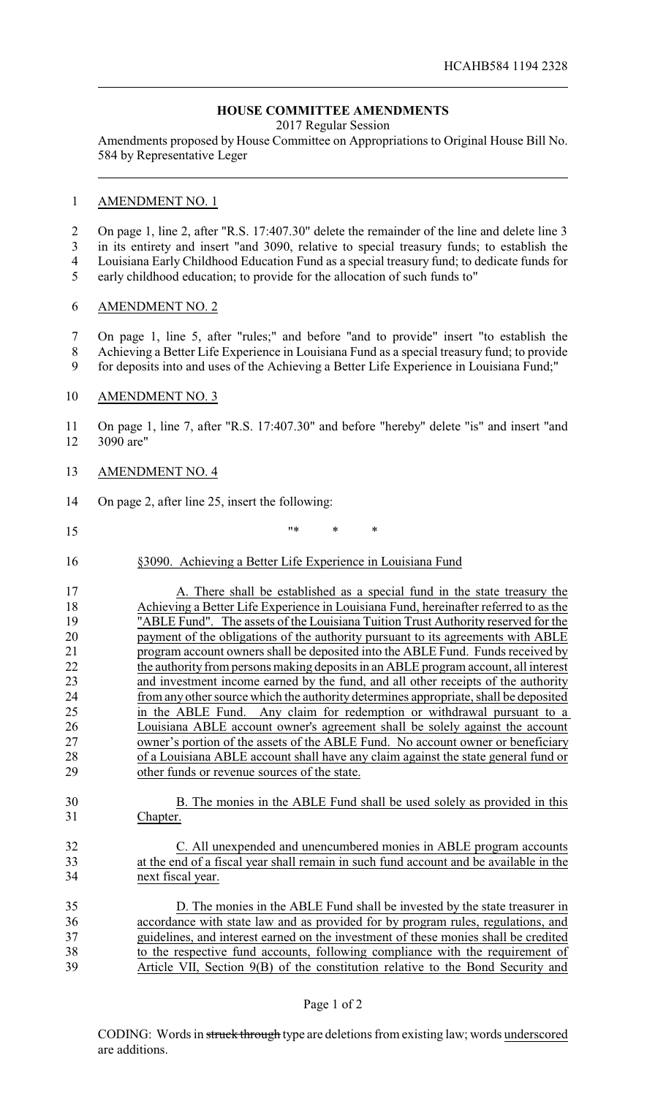# **HOUSE COMMITTEE AMENDMENTS**

2017 Regular Session

Amendments proposed by House Committee on Appropriations to Original House Bill No. 584 by Representative Leger

## AMENDMENT NO. 1

 On page 1, line 2, after "R.S. 17:407.30" delete the remainder of the line and delete line 3 in its entirety and insert "and 3090, relative to special treasury funds; to establish the Louisiana Early Childhood Education Fund as a special treasury fund; to dedicate funds for

early childhood education; to provide for the allocation of such funds to"

### AMENDMENT NO. 2

 On page 1, line 5, after "rules;" and before "and to provide" insert "to establish the Achieving a Better Life Experience in Louisiana Fund as a special treasury fund; to provide

for deposits into and uses of the Achieving a Better Life Experience in Louisiana Fund;"

### 10 AMENDMENT NO. 3

 On page 1, line 7, after "R.S. 17:407.30" and before "hereby" delete "is" and insert "and 3090 are"

- AMENDMENT NO. 4
- On page 2, after line 25, insert the following:
- "\* \* \*
- §3090. Achieving a Better Life Experience in Louisiana Fund

17 A. There shall be established as a special fund in the state treasury the 18 Achieving a Better Life Experience in Louisiana Fund, hereinafter referred to as the "ABLE Fund". The assets of the Louisiana Tuition Trust Authority reserved for the "ABLE Fund". The assets of the Louisiana Tuition Trust Authority reserved for the 20 payment of the obligations of the authority pursuant to its agreements with ABLE 21 program account owners shall be deposited into the ABLE Fund. Funds received by<br>22 the authority from persons making deposits in an ABLE program account, all interest the authority from persons making deposits in an ABLE program account, all interest and investment income earned by the fund, and all other receipts of the authority from any other source which the authority determines appropriate, shall be deposited in the ABLE Fund. Any claim for redemption or withdrawal pursuant to a Louisiana ABLE account owner's agreement shall be solely against the account owner's portion of the assets of the ABLE Fund. No account owner or beneficiary of a Louisiana ABLE account shall have any claim against the state general fund or 29 other funds or revenue sources of the state.

 B. The monies in the ABLE Fund shall be used solely as provided in this Chapter.

## C. All unexpended and unencumbered monies in ABLE program accounts at the end of a fiscal year shall remain in such fund account and be available in the next fiscal year.

| 35 | D. The monies in the ABLE Fund shall be invested by the state treasurer in          |
|----|-------------------------------------------------------------------------------------|
| 36 | accordance with state law and as provided for by program rules, regulations, and    |
| 37 | guidelines, and interest earned on the investment of these monies shall be credited |
| 38 | to the respective fund accounts, following compliance with the requirement of       |
| 39 | Article VII, Section 9(B) of the constitution relative to the Bond Security and     |